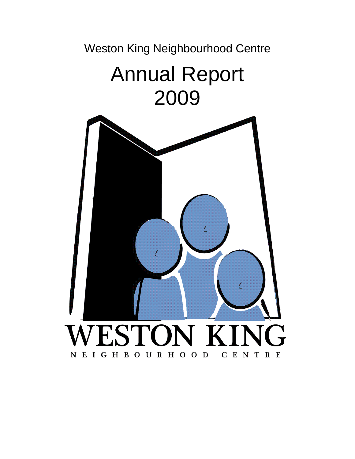Weston King Neighbourhood Centre

# Annual Report 2009

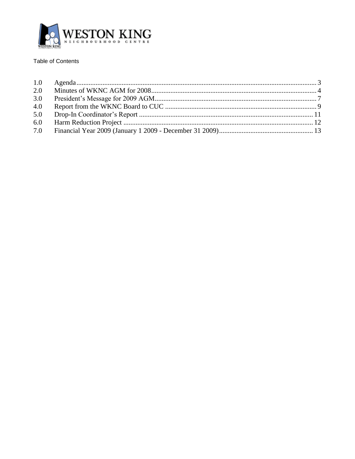

# Table of Contents

| 2.0 |  |
|-----|--|
| 3.0 |  |
| 4.0 |  |
|     |  |
|     |  |
|     |  |
|     |  |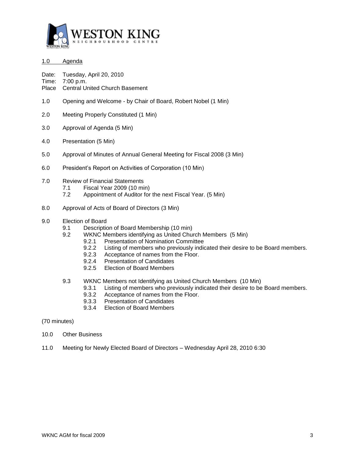

- <span id="page-2-0"></span>1.0 Agenda
- Date: Tuesday, April 20, 2010

Time: 7:00 p.m.

- Place Central United Church Basement
- 1.0 Opening and Welcome by Chair of Board, Robert Nobel (1 Min)
- 2.0 Meeting Properly Constituted (1 Min)
- 3.0 Approval of Agenda (5 Min)
- 4.0 Presentation (5 Min)
- 5.0 Approval of Minutes of Annual General Meeting for Fiscal 2008 (3 Min)
- 6.0 President's Report on Activities of Corporation (10 Min)
- 7.0 Review of Financial Statements
	- 7.1 Fiscal Year 2009 (10 min)
	- 7.2 Appointment of Auditor for the next Fiscal Year. (5 Min)
- 8.0 Approval of Acts of Board of Directors (3 Min)
- 9.0 Election of Board
	- 9.1 Description of Board Membership (10 min)
		- 9.2 WKNC Members identifying as United Church Members (5 Min)
			- 9.2.1 Presentation of Nomination Committee
			- 9.2.2 Listing of members who previously indicated their desire to be Board members.
			- 9.2.3 Acceptance of names from the Floor.
			- 9.2.4 Presentation of Candidates
			- 9.2.5 Election of Board Members
		- 9.3 WKNC Members not Identifying as United Church Members (10 Min)
			- 9.3.1 Listing of members who previously indicated their desire to be Board members.
			- 9.3.2 Acceptance of names from the Floor.
			- 9.3.3 Presentation of Candidates
			- 9.3.4 Election of Board Members
- (70 minutes)
- 10.0 Other Business
- 11.0 Meeting for Newly Elected Board of Directors Wednesday April 28, 2010 6:30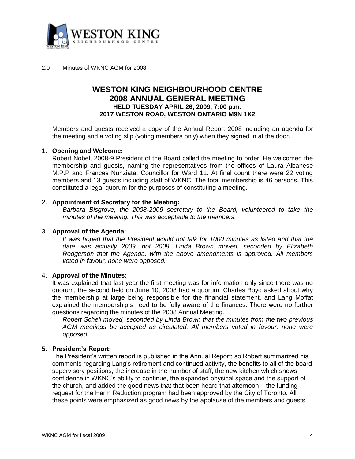

#### <span id="page-3-0"></span>2.0 Minutes of WKNC AGM for 2008

# **WESTON KING NEIGHBOURHOOD CENTRE 2008 ANNUAL GENERAL MEETING HELD TUESDAY APRIL 26, 2009, 7:00 p.m. 2017 WESTON ROAD, WESTON ONTARIO M9N 1X2**

Members and guests received a copy of the Annual Report 2008 including an agenda for the meeting and a voting slip (voting members only) when they signed in at the door.

## 1. **Opening and Welcome:**

Robert Nobel, 2008-9 President of the Board called the meeting to order. He welcomed the membership and guests, naming the representatives from the offices of Laura Albanese M.P.P and Frances Nunziata, Councillor for Ward 11. At final count there were 22 voting members and 13 guests including staff of WKNC. The total membership is 46 persons. This constituted a legal quorum for the purposes of constituting a meeting.

# 2. **Appointment of Secretary for the Meeting:**

*Barbara Bisgrove, the 2008-2009 secretary to the Board, volunteered to take the minutes of the meeting. This was acceptable to the members.*

# 3. **Approval of the Agenda:**

*It was hoped that the President would not talk for 1000 minutes as listed and that the date was actually 2009, not 2008. Linda Brown moved, seconded by Elizabeth Rodgerson that the Agenda, with the above amendments is approved. All members voted in favour, none were opposed.*

#### 4. **Approval of the Minutes:**

It was explained that last year the first meeting was for information only since there was no quorum, the second held on June 10, 2008 had a quorum. Charles Boyd asked about why the membership at large being responsible for the financial statement, and Lang Moffat explained the membership's need to be fully aware of the finances. There were no further questions regarding the minutes of the 2008 Annual Meeting.

*Robert Schell moved, seconded by Linda Brown that the minutes from the two previous AGM meetings be accepted as circulated. All members voted in favour, none were opposed.*

# **5. President's Report:**

The President's written report is published in the Annual Report; so Robert summarized his comments regarding Lang's retirement and continued activity, the benefits to all of the board supervisory positions, the increase in the number of staff, the new kitchen which shows confidence in WKNC's ability to continue, the expanded physical space and the support of the church, and added the good news that that been heard that afternoon – the funding request for the Harm Reduction program had been approved by the City of Toronto. All these points were emphasized as good news by the applause of the members and guests.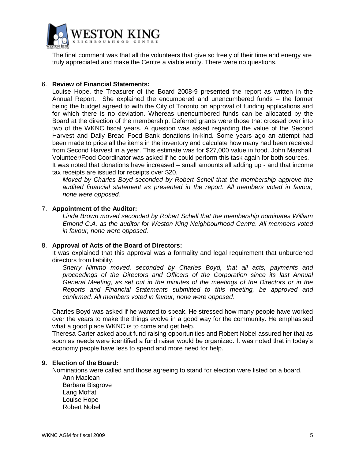

The final comment was that all the volunteers that give so freely of their time and energy are truly appreciated and make the Centre a viable entity. There were no questions.

# 6. **Review of Financial Statements:**

Louise Hope, the Treasurer of the Board 2008-9 presented the report as written in the Annual Report. She explained the encumbered and unencumbered funds – the former being the budget agreed to with the City of Toronto on approval of funding applications and for which there is no deviation. Whereas unencumbered funds can be allocated by the Board at the direction of the membership. Deferred grants were those that crossed over into two of the WKNC fiscal years. A question was asked regarding the value of the Second Harvest and Daily Bread Food Bank donations in-kind. Some years ago an attempt had been made to price all the items in the inventory and calculate how many had been received from Second Harvest in a year. This estimate was for \$27,000 value in food. John Marshall, Volunteer/Food Coordinator was asked if he could perform this task again for both sources. It was noted that donations have increased – small amounts all adding up - and that income

tax receipts are issued for receipts over \$20.

*Moved by Charles Boyd seconded by Robert Schell that the membership approve the audited financial statement as presented in the report. All members voted in favour, none were opposed.*

# 7. **Appointment of the Auditor:**

*Linda Brown moved seconded by Robert Schell that the membership nominates William Emond C.A. as the auditor for Weston King Neighbourhood Centre. All members voted in favour, none were opposed.*

# 8. **Approval of Acts of the Board of Directors:**

It was explained that this approval was a formality and legal requirement that unburdened directors from liability.

*Sherry Nimmo moved, seconded by Charles Boyd, that all acts, payments and proceedings of the Directors and Officers of the Corporation since its last Annual General Meeting, as set out in the minutes of the meetings of the Directors or in the Reports and Financial Statements submitted to this meeting, be approved and confirmed. All members voted in favour, none were opposed.*

Charles Boyd was asked if he wanted to speak. He stressed how many people have worked over the years to make the things evolve in a good way for the community. He emphasised what a good place WKNC is to come and get help.

Theresa Carter asked about fund raising opportunities and Robert Nobel assured her that as soon as needs were identified a fund raiser would be organized. It was noted that in today's economy people have less to spend and more need for help.

# **9. Election of the Board:**

Nominations were called and those agreeing to stand for election were listed on a board. Ann Maclean

Barbara Bisgrove Lang Moffat Louise Hope Robert Nobel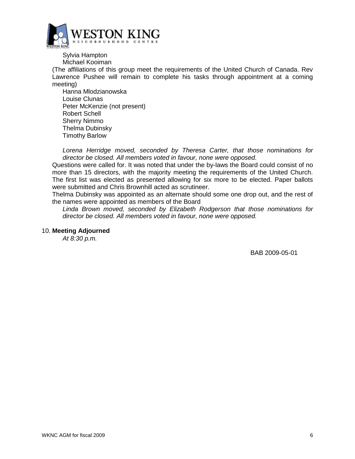

Sylvia Hampton Michael Kooiman

(The affiliations of this group meet the requirements of the United Church of Canada. Rev Lawrence Pushee will remain to complete his tasks through appointment at a coming meeting)

Hanna Mlodzianowska Louise Clunas Peter McKenzie (not present) Robert Schell Sherry Nimmo Thelma Dubinsky Timothy Barlow

*Lorena Herridge moved, seconded by Theresa Carter, that those nominations for director be closed. All members voted in favour, none were opposed.*

Questions were called for. It was noted that under the by-laws the Board could consist of no more than 15 directors, with the majority meeting the requirements of the United Church. The first list was elected as presented allowing for six more to be elected. Paper ballots were submitted and Chris Brownhill acted as scrutineer.

Thelma Dubinsky was appointed as an alternate should some one drop out, and the rest of the names were appointed as members of the Board

*Linda Brown moved, seconded by Elizabeth Rodgerson that those nominations for director be closed. All members voted in favour, none were opposed.*

# 10. **Meeting Adjourned**

*At 8:30 p.m.* 

BAB 2009-05-01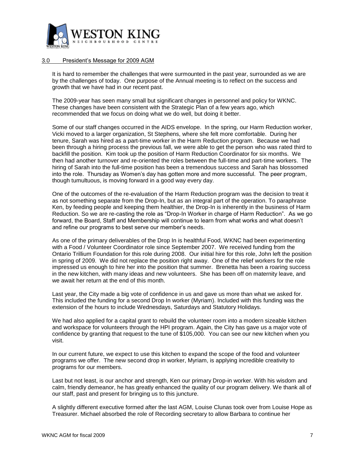

## <span id="page-6-0"></span>3.0 President's Message for 2009 AGM

It is hard to remember the challenges that were surmounted in the past year, surrounded as we are by the challenges of today. One purpose of the Annual meeting is to reflect on the success and growth that we have had in our recent past.

The 2009-year has seen many small but significant changes in personnel and policy for WKNC. These changes have been consistent with the Strategic Plan of a few years ago, which recommended that we focus on doing what we do well, but doing it better.

Some of our staff changes occurred in the AIDS envelope. In the spring, our Harm Reduction worker, Vicki moved to a larger organization, St Stephens, where she felt more comfortable. During her tenure, Sarah was hired as a part-time worker in the Harm Reduction program. Because we had been through a hiring process the previous fall, we were able to get the person who was rated third to backfill the position. Kim took up the position of Harm Reduction Coordinator for six months. We then had another turnover and re-oriented the roles between the full-time and part-time workers. The hiring of Sarah into the full-time position has been a tremendous success and Sarah has blossomed into the role. Thursday as Women's day has gotten more and more successful. The peer program, though tumultuous, is moving forward in a good way every day.

One of the outcomes of the re-evaluation of the Harm Reduction program was the decision to treat it as not something separate from the Drop-In, but as an integral part of the operation. To paraphrase Ken, by feeding people and keeping them healthier, the Drop-In is inherently in the business of Harm Reduction. So we are re-casting the role as "Drop-In Worker in charge of Harm Reduction". As we go forward, the Board, Staff and Membership will continue to learn from what works and what doesn't and refine our programs to best serve our member's needs.

As one of the primary deliverables of the Drop In is healthful Food, WKNC had been experimenting with a Food / Volunteer Coordinator role since September 2007. We received funding from the Ontario Trillium Foundation for this role during 2008. Our initial hire for this role, John left the position in spring of 2009. We did not replace the position right away. One of the relief workers for the role impressed us enough to hire her into the position that summer. Brenetta has been a roaring success in the new kitchen, with many ideas and new volunteers. She has been off on maternity leave, and we await her return at the end of this month.

Last year, the City made a big vote of confidence in us and gave us more than what we asked for. This included the funding for a second Drop In worker (Myriam). Included with this funding was the extension of the hours to include Wednesdays, Saturdays and Statutory Holidays.

We had also applied for a capital grant to rebuild the volunteer room into a modern sizeable kitchen and workspace for volunteers through the HPI program. Again, the City has gave us a major vote of confidence by granting that request to the tune of \$105,000. You can see our new kitchen when you visit.

In our current future, we expect to use this kitchen to expand the scope of the food and volunteer programs we offer. The new second drop in worker, Myriam, is applying incredible creativity to programs for our members.

Last but not least, is our anchor and strength, Ken our primary Drop-in worker. With his wisdom and calm, friendly demeanor, he has greatly enhanced the quality of our program delivery. We thank all of our staff, past and present for bringing us to this juncture.

A slightly different executive formed after the last AGM, Louise Clunas took over from Louise Hope as Treasurer. Michael absorbed the role of Recording secretary to allow Barbara to continue her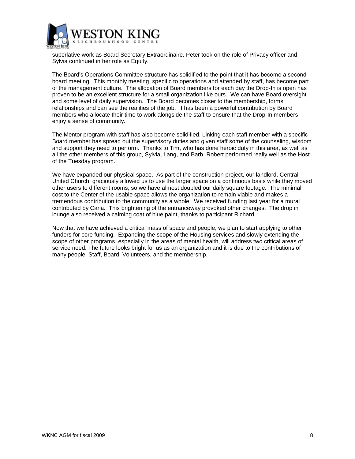

superlative work as Board Secretary Extraordinaire. Peter took on the role of Privacy officer and Sylvia continued in her role as Equity.

The Board's Operations Committee structure has solidified to the point that it has become a second board meeting. This monthly meeting, specific to operations and attended by staff, has become part of the management culture. The allocation of Board members for each day the Drop-In is open has proven to be an excellent structure for a small organization like ours. We can have Board oversight and some level of daily supervision. The Board becomes closer to the membership, forms relationships and can see the realities of the job. It has been a powerful contribution by Board members who allocate their time to work alongside the staff to ensure that the Drop-In members enjoy a sense of community.

The Mentor program with staff has also become solidified. Linking each staff member with a specific Board member has spread out the supervisory duties and given staff some of the counseling, wisdom and support they need to perform. Thanks to Tim, who has done heroic duty in this area, as well as all the other members of this group, Sylvia, Lang, and Barb. Robert performed really well as the Host of the Tuesday program.

We have expanded our physical space. As part of the construction project, our landlord, Central United Church, graciously allowed us to use the larger space on a continuous basis while they moved other users to different rooms; so we have almost doubled our daily square footage. The minimal cost to the Center of the usable space allows the organization to remain viable and makes a tremendous contribution to the community as a whole. We received funding last year for a mural contributed by Carla. This brightening of the entranceway provoked other changes. The drop in lounge also received a calming coat of blue paint, thanks to participant Richard.

Now that we have achieved a critical mass of space and people, we plan to start applying to other funders for core funding. Expanding the scope of the Housing services and slowly extending the scope of other programs, especially in the areas of mental health, will address two critical areas of service need. The future looks bright for us as an organization and it is due to the contributions of many people: Staff, Board, Volunteers, and the membership.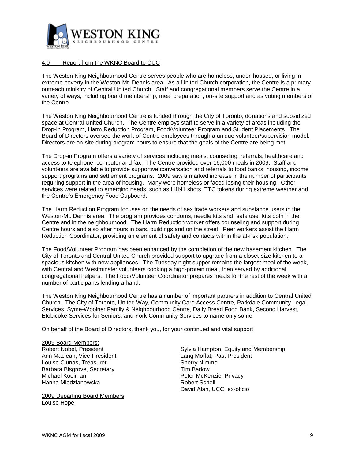

#### <span id="page-8-0"></span>4.0 Report from the WKNC Board to CUC

The Weston King Neighbourhood Centre serves people who are homeless, under-housed, or living in extreme poverty in the Weston-Mt. Dennis area. As a United Church corporation, the Centre is a primary outreach ministry of Central United Church. Staff and congregational members serve the Centre in a variety of ways, including board membership, meal preparation, on-site support and as voting members of the Centre.

The Weston King Neighbourhood Centre is funded through the City of Toronto, donations and subsidized space at Central United Church. The Centre employs staff to serve in a variety of areas including the Drop-in Program, Harm Reduction Program, Food/Volunteer Program and Student Placements. The Board of Directors oversee the work of Centre employees through a unique volunteer/supervision model. Directors are on-site during program hours to ensure that the goals of the Centre are being met.

The Drop-in Program offers a variety of services including meals, counseling, referrals, healthcare and access to telephone, computer and fax. The Centre provided over 16,000 meals in 2009. Staff and volunteers are available to provide supportive conversation and referrals to food banks, housing, income support programs and settlement programs. 2009 saw a marked increase in the number of participants requiring support in the area of housing. Many were homeless or faced losing their housing. Other services were related to emerging needs, such as H1N1 shots, TTC tokens during extreme weather and the Centre's Emergency Food Cupboard.

The Harm Reduction Program focuses on the needs of sex trade workers and substance users in the Weston-Mt. Dennis area. The program provides condoms, needle kits and "safe use" kits both in the Centre and in the neighbourhood. The Harm Reduction worker offers counseling and support during Centre hours and also after hours in bars, buildings and on the street. Peer workers assist the Harm Reduction Coordinator, providing an element of safety and contacts within the at-risk population.

The Food/Volunteer Program has been enhanced by the completion of the new basement kitchen. The City of Toronto and Central United Church provided support to upgrade from a closet-size kitchen to a spacious kitchen with new appliances. The Tuesday night supper remains the largest meal of the week, with Central and Westminster volunteers cooking a high-protein meal, then served by additional congregational helpers. The Food/Volunteer Coordinator prepares meals for the rest of the week with a number of participants lending a hand.

The Weston King Neighbourhood Centre has a number of important partners in addition to Central United Church. The City of Toronto, United Way, Community Care Access Centre, Parkdale Community Legal Services, Syme-Woolner Family & Neighbourhood Centre, Daily Bread Food Bank, Second Harvest, Etobicoke Services for Seniors, and York Community Services to name only some.

On behalf of the Board of Directors, thank you, for your continued and vital support.

2009 Board Members: Ann Maclean, Vice-President Lang Moffat, Past President Louise Clunas, Treasurer Sherry Nimmo Barbara Bisgrove, Secretary Tim Barlow Michael Kooiman Peter McKenzie, Privacy Hanna Mlodzianowska **Robert Schell** 

2009 Departing Board Members Louise Hope

Robert Nobel, President Sylvia Hampton, Equity and Membership David Alan, UCC, ex-oficio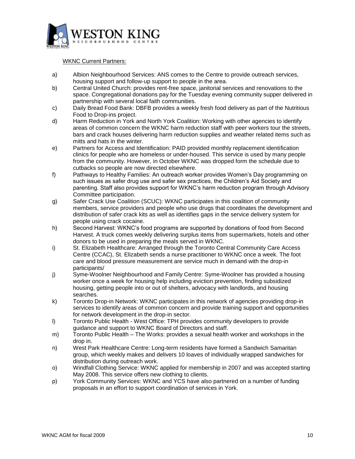

WKNC Current Partners:

- a) Albion Neighbourhood Services: ANS comes to the Centre to provide outreach services, housing support and follow-up support to people in the area.
- b) Central United Church: provides rent-free space, janitorial services and renovations to the space. Congregational donations pay for the Tuesday evening community supper delivered in partnership with several local faith communities.
- c) Daily Bread Food Bank: DBFB provides a weekly fresh food delivery as part of the Nutritious Food to Drop-ins project.
- d) Harm Reduction in York and North York Coalition: Working with other agencies to identify areas of common concern the WKNC harm reduction staff with peer workers tour the streets, bars and crack houses delivering harm reduction supplies and weather related items such as mitts and hats in the winter.
- e) Partners for Access and Identification: PAID provided monthly replacement identification clinics for people who are homeless or under-housed. This service is used by many people from the community. However, in October WKNC was dropped form the schedule due to cutbacks so people are now directed elsewhere.
- f) Pathways to Healthy Families: An outreach worker provides Women's Day programming on such issues as safer drug use and safer sex practices, the Children's Aid Society and parenting. Staff also provides support for WKNC's harm reduction program through Advisory Committee participation.
- g) Safer Crack Use Coalition (SCUC): WKNC participates in this coalition of community members, service providers and people who use drugs that coordinates the development and distribution of safer crack kits as well as identifies gaps in the service delivery system for people using crack cocaine.
- h) Second Harvest: WKNC's food programs are supported by donations of food from Second Harvest. A truck comes weekly delivering surplus items from supermarkets, hotels and other donors to be used in preparing the meals served in WKNC.
- i) St. Elizabeth Healthcare: Arranged through the Toronto Central Community Care Access Centre (CCAC), St. Elizabeth sends a nurse practitioner to WKNC once a week. The foot care and blood pressure measurement are service much in demand with the drop-in participants/
- j) Syme-Woolner Neighbourhood and Family Centre: Syme-Woolner has provided a housing worker once a week for housing help including eviction prevention, finding subsidized housing, getting people into or out of shelters, advocacy with landlords, and housing searches.
- k) Toronto Drop-in Network: WKNC participates in this network of agencies providing drop-in services to identify areas of common concern and provide training support and opportunities for network development in the drop-in sector.
- l) Toronto Public Health West Office: TPH provides community developers to provide guidance and support to WKNC Board of Directors and staff.
- m) Toronto Public Health The Works: provides a sexual health worker and workshops in the drop in.
- n) West Park Healthcare Centre: Long-term residents have formed a Sandwich Samaritan group, which weekly makes and delivers 10 loaves of individually wrapped sandwiches for distribution during outreach work.
- o) Windfall Clothing Service: WKNC applied for membership in 2007 and was accepted starting May 2008. This service offers new clothing to clients.
- p) York Community Services: WKNC and YCS have also partnered on a number of funding proposals in an effort to support coordination of services in York.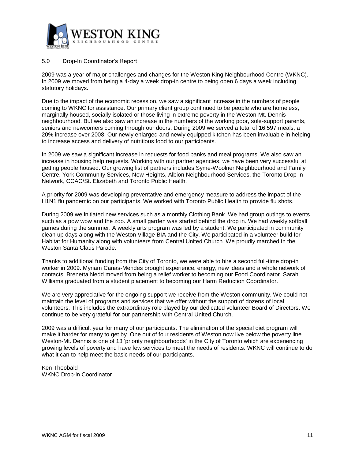

## <span id="page-10-0"></span>5.0 Drop-In Coordinator's Report

2009 was a year of major challenges and changes for the Weston King Neighbourhood Centre (WKNC). In 2009 we moved from being a 4-day a week drop-in centre to being open 6 days a week including statutory holidays.

Due to the impact of the economic recession, we saw a significant increase in the numbers of people coming to WKNC for assistance. Our primary client group continued to be people who are homeless, marginally housed, socially isolated or those living in extreme poverty in the Weston-Mt. Dennis neighbourhood. But we also saw an increase in the numbers of the working poor, sole-support parents, seniors and newcomers coming through our doors. During 2009 we served a total of 16,597 meals, a 20% increase over 2008. Our newly enlarged and newly equipped kitchen has been invaluable in helping to increase access and delivery of nutritious food to our participants.

In 2009 we saw a significant increase in requests for food banks and meal programs. We also saw an increase in housing help requests. Working with our partner agencies, we have been very successful at getting people housed. Our growing list of partners includes Syme-Woolner Neighbourhood and Family Centre, York Community Services, New Heights, Albion Neighbourhood Services, the Toronto Drop-in Network, CCAC/St. Elizabeth and Toronto Public Health.

A priority for 2009 was developing preventative and emergency measure to address the impact of the H1N1 flu pandemic on our participants. We worked with Toronto Public Health to provide flu shots.

During 2009 we initiated new services such as a monthly Clothing Bank. We had group outings to events such as a pow wow and the zoo. A small garden was started behind the drop in. We had weekly softball games during the summer. A weekly arts program was led by a student. We participated in community clean up days along with the Weston Village BIA and the City. We participated in a volunteer build for Habitat for Humanity along with volunteers from Central United Church. We proudly marched in the Weston Santa Claus Parade.

Thanks to additional funding from the City of Toronto, we were able to hire a second full-time drop-in worker in 2009. Myriam Canas-Mendes brought experience, energy, new ideas and a whole network of contacts. Brenetta Nedd moved from being a relief worker to becoming our Food Coordinator. Sarah Williams graduated from a student placement to becoming our Harm Reduction Coordinator.

We are very appreciative for the ongoing support we receive from the Weston community. We could not maintain the level of programs and services that we offer without the support of dozens of local volunteers. This includes the extraordinary role played by our dedicated volunteer Board of Directors. We continue to be very grateful for our partnership with Central United Church.

2009 was a difficult year for many of our participants. The elimination of the special diet program will make it harder for many to get by. One out of four residents of Weston now live below the poverty line. Weston-Mt. Dennis is one of 13 'priority neighbourhoods' in the City of Toronto which are experiencing growing levels of poverty and have few services to meet the needs of residents. WKNC will continue to do what it can to help meet the basic needs of our participants.

Ken Theobald WKNC Drop-in Coordinator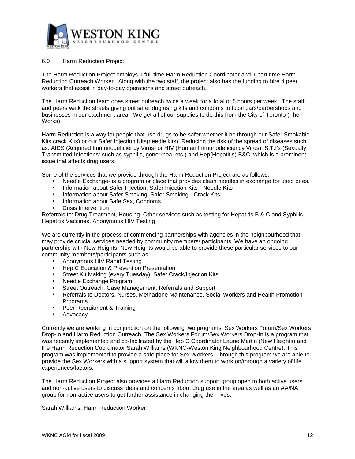

#### <span id="page-11-0"></span>6.0 Harm Reduction Project

The Harm Reduction Project employs 1 full time Harm Reduction Coordinator and 1 part time Harm Reduction Outreach Worker. Along with the two staff, the project also has the funding to hire 4 peer workers that assist in day-to-day operations and street outreach.

The Harm Reduction team does street outreach twice a week for a total of 5 hours per week. The staff and peers walk the streets giving out safer dug using kits and condoms to local bars/barbershops and businesses in our catchment area. We get all of our supplies to do this from the City of Toronto (The Works).

Harm Reduction is a way for people that use drugs to be safer whether it be through our Safer Smokable Kits crack Kits) or our Safer Injection Kits(needle kits). Reducing the risk of the spread of diseases such as: AIDS (Acquired Immunodeficiency Virus) or HIV (Human Immunodeficiency Virus), S.T.I's (Sexually Transmitted Infections: such as syphilis, gonorrhea, etc.) and Hep(Hepatitis) B&C; which is a prominent issue that affects drug users.

Some of the services that we provide through the Harm Reduction Project are as follows:

- Needle Exchange- is a program or place that provides clean needles in exchange for used ones.
- **Information about Safer Injection, Safer Injection Kits Needle Kits**
- **Information about Safer Smoking, Safer Smoking Crack Kits**
- Information about Safe Sex, Condoms
- Crisis Intervention

Referrals to: Drug Treatment, Housing. Other services such as testing for Hepatitis B & C and Syphilis, Hepatitis Vaccines, Anonymous HIV Testing

We are currently in the process of commencing partnerships with agencies in the neighbourhood that may provide crucial services needed by community members/ participants. We have an ongoing partnership with New Heights. New Heights would be able to provide these particular services to our community members/participants such as:

- **Anonymous HIV Rapid Testing**
- Hep C Education & Prevention Presentation
- **Street Kit Making (every Tuesday), Safer Crack/Injection Kits**
- Needle Exchange Program
- Street Outreach, Case Management, Referrals and Support
- Referrals to Doctors, Nurses, Methadone Maintenance, Social Workers and Health Promotion Programs
- **Peer Recruitment & Training**
- **Advocacy**

Currently we are working in conjunction on the following two programs: Sex Workers Forum/Sex Workers Drop-In and Harm Reduction Outreach. The Sex Workers Forum/Sex Workers Drop-In is a program that was recently implemented and co-facilitated by the Hep C Coordinator Laurie Martin (New Heights) and the Harm Reduction Coordinator Sarah Williams (WKNC-Weston King Neighbourhood Centre). This program was implemented to provide a safe place for Sex Workers. Through this program we are able to provide the Sex Workers with a support system that will allow them to work on/through a variety of life experiences/factors.

The Harm Reduction Project also provides a Harm Reduction support group open to both active users and non-active users to discuss ideas and concerns about drug use in the area as well as an AA/NA group for non-active users to get further assistance in changing their lives.

Sarah Williams, Harm Reduction Worker